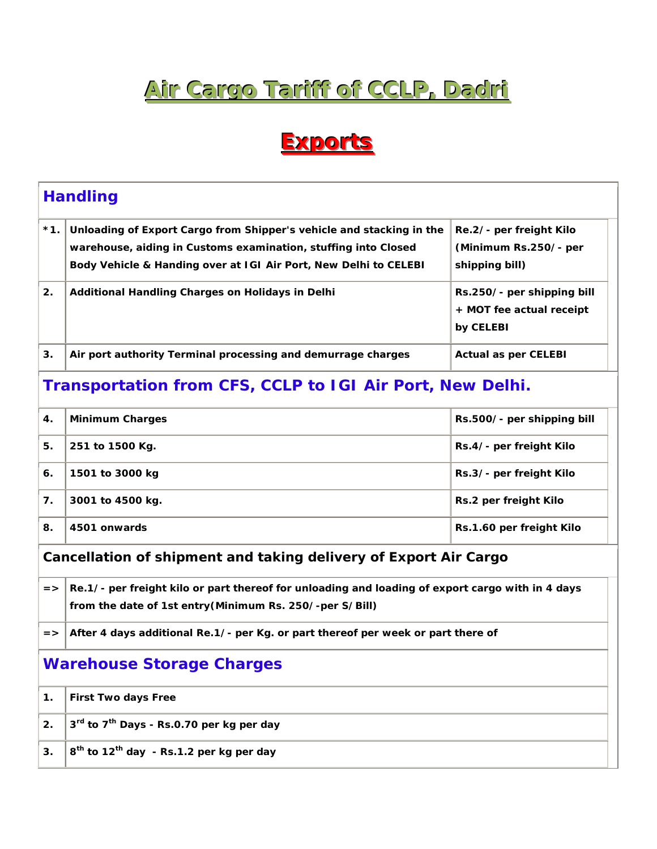## **Air Cargo Tariff of CCLP, Dadri**

## **Exports**

| <b>Handling</b>                                                  |                                                                                                                                                                                                            |                                                                     |  |  |
|------------------------------------------------------------------|------------------------------------------------------------------------------------------------------------------------------------------------------------------------------------------------------------|---------------------------------------------------------------------|--|--|
| $*1.$                                                            | Unloading of Export Cargo from Shipper's vehicle and stacking in the<br>warehouse, aiding in Customs examination, stuffing into Closed<br>Body Vehicle & Handing over at IGI Air Port, New Delhi to CELEBI | Re.2/- per freight Kilo<br>(Minimum Rs.250/- per<br>shipping bill)  |  |  |
| 2.                                                               | Additional Handling Charges on Holidays in Delhi                                                                                                                                                           | Rs.250/- per shipping bill<br>+ MOT fee actual receipt<br>by CELEBI |  |  |
| 3.                                                               | Air port authority Terminal processing and demurrage charges                                                                                                                                               | <b>Actual as per CELEBI</b>                                         |  |  |
| <b>Transportation from CFS, CCLP to IGI Air Port, New Delhi.</b> |                                                                                                                                                                                                            |                                                                     |  |  |
| 4.                                                               | <b>Minimum Charges</b>                                                                                                                                                                                     | Rs.500/- per shipping bill                                          |  |  |
| 5.                                                               | 251 to 1500 Kg.                                                                                                                                                                                            | Rs.4/- per freight Kilo                                             |  |  |
| 6.                                                               | 1501 to 3000 kg                                                                                                                                                                                            | Rs.3/- per freight Kilo                                             |  |  |
| 7.                                                               | 3001 to 4500 kg.                                                                                                                                                                                           | Rs.2 per freight Kilo                                               |  |  |
| 8.                                                               | 4501 onwards                                                                                                                                                                                               | Rs.1.60 per freight Kilo                                            |  |  |
| Cancellation of shipment and taking delivery of Export Air Cargo |                                                                                                                                                                                                            |                                                                     |  |  |
| $=$ >                                                            | Re.1/- per freight kilo or part thereof for unloading and loading of export cargo with in 4 days<br>from the date of 1st entry (Minimum Rs. 250/-per S/Bill)                                               |                                                                     |  |  |
| $=$ $>$                                                          | After 4 days additional Re.1/- per Kg. or part thereof per week or part there of                                                                                                                           |                                                                     |  |  |
| <b>Warehouse Storage Charges</b>                                 |                                                                                                                                                                                                            |                                                                     |  |  |
| 1.                                                               | <b>First Two days Free</b>                                                                                                                                                                                 |                                                                     |  |  |
| 2.                                                               | 3rd to 7 <sup>th</sup> Days - Rs.0.70 per kg per day                                                                                                                                                       |                                                                     |  |  |
| 3.                                                               | 8 <sup>th</sup> to 12 <sup>th</sup> day - Rs.1.2 per kg per day                                                                                                                                            |                                                                     |  |  |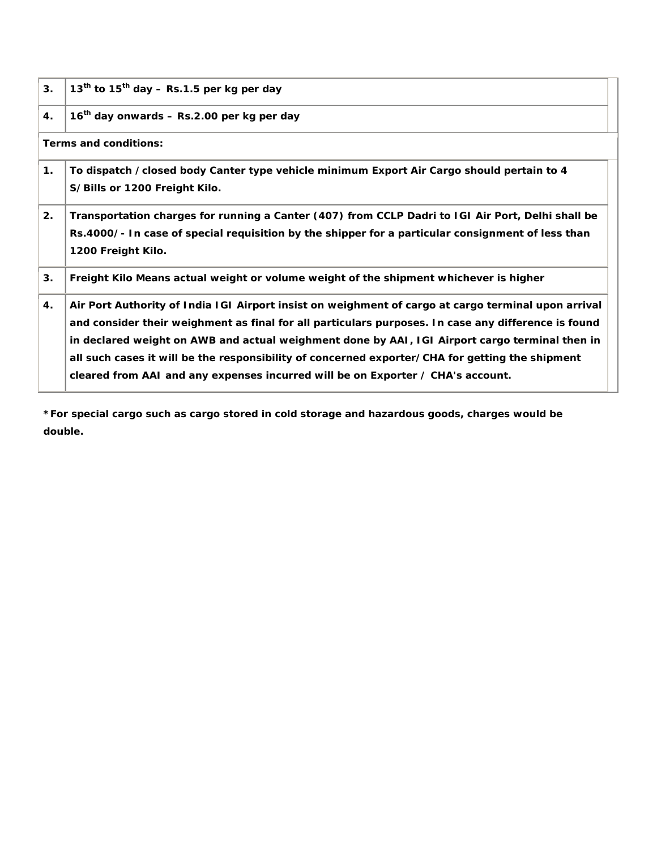| 3.                    | $13th$ to $15th$ day – Rs.1.5 per kg per day                                                                                                                                                                                                                                                                                                                                                                                                                                                       |  |  |  |
|-----------------------|----------------------------------------------------------------------------------------------------------------------------------------------------------------------------------------------------------------------------------------------------------------------------------------------------------------------------------------------------------------------------------------------------------------------------------------------------------------------------------------------------|--|--|--|
| $\boldsymbol{4}$ .    | $16th$ day onwards – Rs.2.00 per kg per day                                                                                                                                                                                                                                                                                                                                                                                                                                                        |  |  |  |
| Terms and conditions: |                                                                                                                                                                                                                                                                                                                                                                                                                                                                                                    |  |  |  |
| 1.                    | To dispatch /closed body Canter type vehicle minimum Export Air Cargo should pertain to 4<br>S/Bills or 1200 Freight Kilo.                                                                                                                                                                                                                                                                                                                                                                         |  |  |  |
| 2.                    | Transportation charges for running a Canter (407) from CCLP Dadri to IGI Air Port, Delhi shall be<br>Rs.4000/- In case of special requisition by the shipper for a particular consignment of less than<br>1200 Freight Kilo.                                                                                                                                                                                                                                                                       |  |  |  |
| 3.                    | Freight Kilo Means actual weight or volume weight of the shipment whichever is higher                                                                                                                                                                                                                                                                                                                                                                                                              |  |  |  |
| 4.                    | Air Port Authority of India IGI Airport insist on weighment of cargo at cargo terminal upon arrival<br>and consider their weighment as final for all particulars purposes. In case any difference is found<br>in declared weight on AWB and actual weighment done by AAI, IGI Airport cargo terminal then in<br>all such cases it will be the responsibility of concerned exporter/CHA for getting the shipment<br>cleared from AAI and any expenses incurred will be on Exporter / CHA's account. |  |  |  |

*\*For special cargo such as cargo stored in cold storage and hazardous goods, charges would be double.*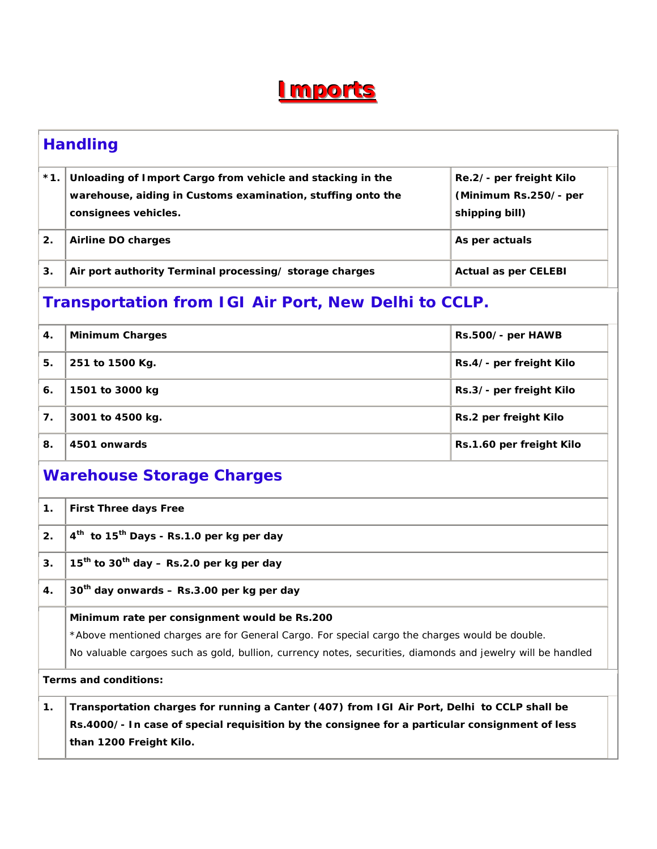## **I**mports

| <b>Handling</b>                                             |                                                                                                                                                                                                                                                               |                                                                    |  |  |
|-------------------------------------------------------------|---------------------------------------------------------------------------------------------------------------------------------------------------------------------------------------------------------------------------------------------------------------|--------------------------------------------------------------------|--|--|
| $*1.$                                                       | Unloading of Import Cargo from vehicle and stacking in the<br>warehouse, aiding in Customs examination, stuffing onto the<br>consignees vehicles.                                                                                                             | Re.2/- per freight Kilo<br>(Minimum Rs.250/- per<br>shipping bill) |  |  |
| 2.                                                          | <b>Airline DO charges</b>                                                                                                                                                                                                                                     | As per actuals                                                     |  |  |
| 3.                                                          | Air port authority Terminal processing/ storage charges                                                                                                                                                                                                       | <b>Actual as per CELEBI</b>                                        |  |  |
| <b>Transportation from IGI Air Port, New Delhi to CCLP.</b> |                                                                                                                                                                                                                                                               |                                                                    |  |  |
| 4.                                                          | <b>Minimum Charges</b>                                                                                                                                                                                                                                        | Rs.500/- per HAWB                                                  |  |  |
| 5.                                                          | 251 to 1500 Kg.                                                                                                                                                                                                                                               | Rs.4/- per freight Kilo                                            |  |  |
| 6.                                                          | 1501 to 3000 kg                                                                                                                                                                                                                                               | Rs.3/- per freight Kilo                                            |  |  |
| 7.                                                          | 3001 to 4500 kg.                                                                                                                                                                                                                                              | Rs.2 per freight Kilo                                              |  |  |
| 8.                                                          | 4501 onwards                                                                                                                                                                                                                                                  | Rs.1.60 per freight Kilo                                           |  |  |
| <b>Warehouse Storage Charges</b>                            |                                                                                                                                                                                                                                                               |                                                                    |  |  |
| 1 <sub>1</sub>                                              | <b>First Three days Free</b>                                                                                                                                                                                                                                  |                                                                    |  |  |
| 2.                                                          | 4 <sup>th</sup> to 15 <sup>th</sup> Days - Rs.1.0 per kg per day                                                                                                                                                                                              |                                                                    |  |  |
| 3.                                                          | $15th$ to $30th$ day – Rs.2.0 per kg per day                                                                                                                                                                                                                  |                                                                    |  |  |
| 4.                                                          | $30th$ day onwards – Rs.3.00 per kg per day                                                                                                                                                                                                                   |                                                                    |  |  |
|                                                             | Minimum rate per consignment would be Rs.200<br>*Above mentioned charges are for General Cargo. For special cargo the charges would be double.<br>No valuable cargoes such as gold, bullion, currency notes, securities, diamonds and jewelry will be handled |                                                                    |  |  |
| Terms and conditions:                                       |                                                                                                                                                                                                                                                               |                                                                    |  |  |
| 1.                                                          | Transportation charges for running a Canter (407) from IGI Air Port, Delhi to CCLP shall be<br>Rs.4000/- In case of special requisition by the consignee for a particular consignment of less<br>than 1200 Freight Kilo.                                      |                                                                    |  |  |